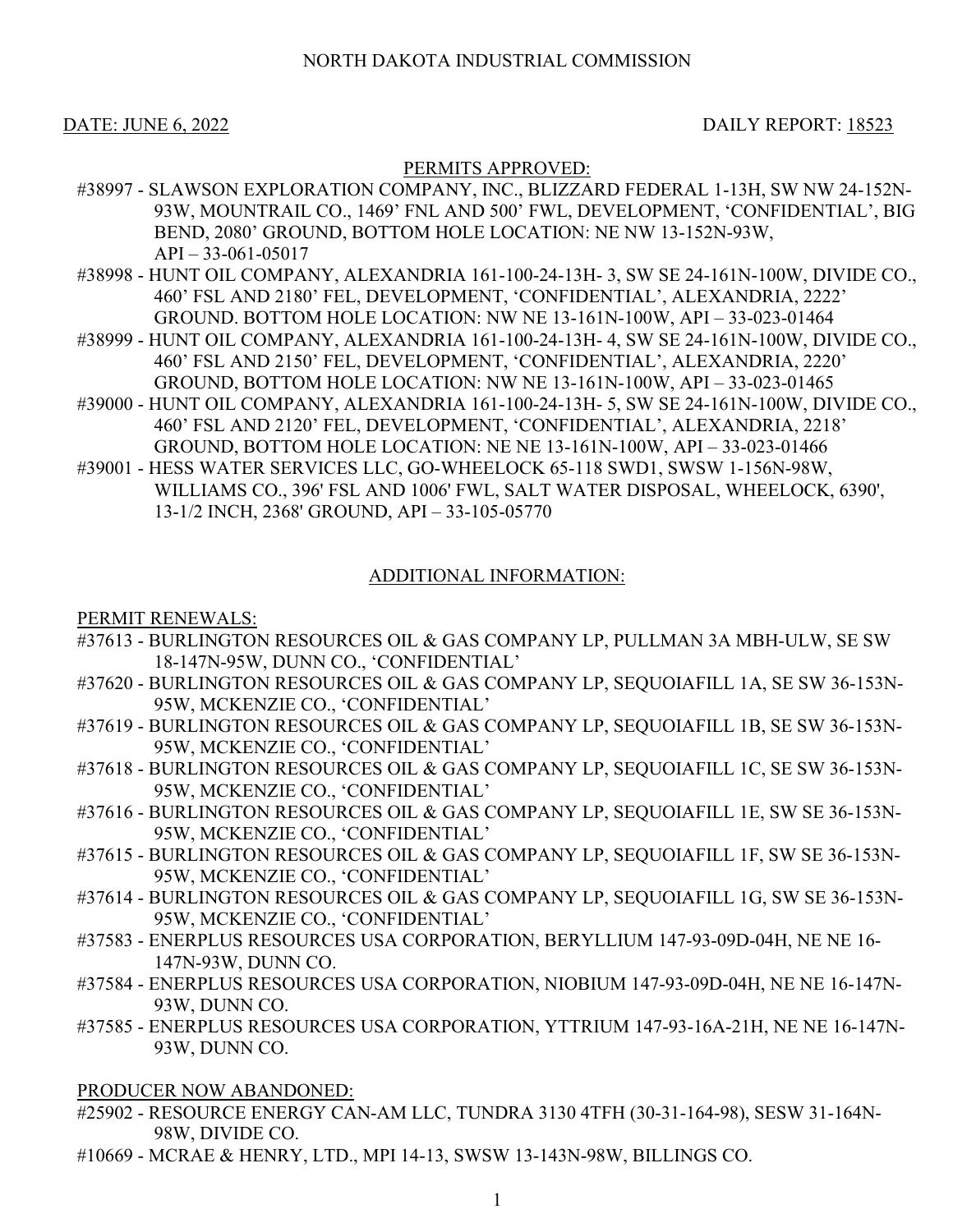DATE: JUNE 6, 2022 DAILY REPORT: 18523

## PERMITS APPROVED:

- #38997 SLAWSON EXPLORATION COMPANY, INC., BLIZZARD FEDERAL 1-13H, SW NW 24-152N-93W, MOUNTRAIL CO., 1469' FNL AND 500' FWL, DEVELOPMENT, 'CONFIDENTIAL', BIG BEND, 2080' GROUND, BOTTOM HOLE LOCATION: NE NW 13-152N-93W,  $API - 33-061-05017$
- #38998 HUNT OIL COMPANY, ALEXANDRIA 161-100-24-13H- 3, SW SE 24-161N-100W, DIVIDE CO., 460' FSL AND 2180' FEL, DEVELOPMENT, 'CONFIDENTIAL', ALEXANDRIA, 2222' GROUND. BOTTOM HOLE LOCATION: NW NE 13-161N-100W, API – 33-023-01464
- #38999 HUNT OIL COMPANY, ALEXANDRIA 161-100-24-13H- 4, SW SE 24-161N-100W, DIVIDE CO., 460' FSL AND 2150' FEL, DEVELOPMENT, 'CONFIDENTIAL', ALEXANDRIA, 2220' GROUND, BOTTOM HOLE LOCATION: NW NE 13-161N-100W, API – 33-023-01465
- #39000 HUNT OIL COMPANY, ALEXANDRIA 161-100-24-13H- 5, SW SE 24-161N-100W, DIVIDE CO., 460' FSL AND 2120' FEL, DEVELOPMENT, 'CONFIDENTIAL', ALEXANDRIA, 2218' GROUND, BOTTOM HOLE LOCATION: NE NE 13-161N-100W, API – 33-023-01466
- #39001 HESS WATER SERVICES LLC, GO-WHEELOCK 65-118 SWD1, SWSW 1-156N-98W, WILLIAMS CO., 396' FSL AND 1006' FWL, SALT WATER DISPOSAL, WHEELOCK, 6390', 13-1/2 INCH, 2368' GROUND, API – 33-105-05770

## ADDITIONAL INFORMATION:

PERMIT RENEWALS:

- #37613 BURLINGTON RESOURCES OIL & GAS COMPANY LP, PULLMAN 3A MBH-ULW, SE SW 18-147N-95W, DUNN CO., 'CONFIDENTIAL'
- #37620 BURLINGTON RESOURCES OIL & GAS COMPANY LP, SEQUOIAFILL 1A, SE SW 36-153N-95W, MCKENZIE CO., 'CONFIDENTIAL'
- #37619 BURLINGTON RESOURCES OIL & GAS COMPANY LP, SEQUOIAFILL 1B, SE SW 36-153N-95W, MCKENZIE CO., 'CONFIDENTIAL'
- #37618 BURLINGTON RESOURCES OIL & GAS COMPANY LP, SEQUOIAFILL 1C, SE SW 36-153N-95W, MCKENZIE CO., 'CONFIDENTIAL'
- #37616 BURLINGTON RESOURCES OIL & GAS COMPANY LP, SEQUOIAFILL 1E, SW SE 36-153N-95W, MCKENZIE CO., 'CONFIDENTIAL'
- #37615 BURLINGTON RESOURCES OIL & GAS COMPANY LP, SEQUOIAFILL 1F, SW SE 36-153N-95W, MCKENZIE CO., 'CONFIDENTIAL'
- #37614 BURLINGTON RESOURCES OIL & GAS COMPANY LP, SEQUOIAFILL 1G, SW SE 36-153N-95W, MCKENZIE CO., 'CONFIDENTIAL'
- #37583 ENERPLUS RESOURCES USA CORPORATION, BERYLLIUM 147-93-09D-04H, NE NE 16- 147N-93W, DUNN CO.
- #37584 ENERPLUS RESOURCES USA CORPORATION, NIOBIUM 147-93-09D-04H, NE NE 16-147N-93W, DUNN CO.
- #37585 ENERPLUS RESOURCES USA CORPORATION, YTTRIUM 147-93-16A-21H, NE NE 16-147N-93W, DUNN CO.

PRODUCER NOW ABANDONED:

- #25902 RESOURCE ENERGY CAN-AM LLC, TUNDRA 3130 4TFH (30-31-164-98), SESW 31-164N-98W, DIVIDE CO.
- #10669 MCRAE & HENRY, LTD., MPI 14-13, SWSW 13-143N-98W, BILLINGS CO.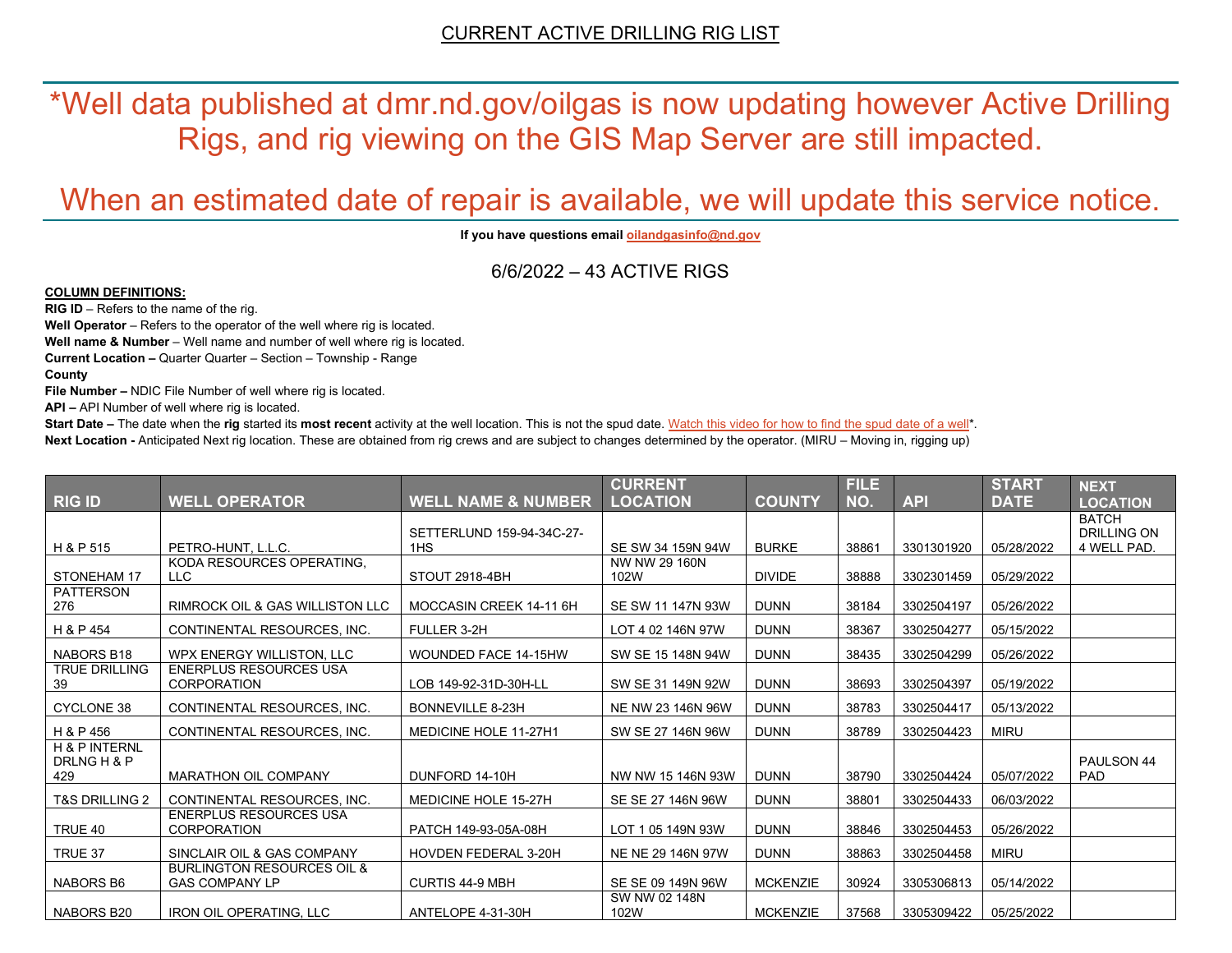\*Well data published at dmr.nd.gov/oilgas is now updating however Active Drilling Rigs, and rig viewing on the GIS Map Server are still impacted.

## When an estimated date of repair is available, we will update this service notice.

**If you have questions emai[l oilandgasinfo@nd.gov](mailto:oilandgasinfo@nd.gov)**

6/6/2022 – 43 ACTIVE RIGS

## **COLUMN DEFINITIONS:**

**RIG ID** – Refers to the name of the rig.

**Well Operator** – Refers to the operator of the well where rig is located.

**Well name & Number** – Well name and number of well where rig is located.

**Current Location –** Quarter Quarter – Section – Township - Range

**County**

**File Number –** NDIC File Number of well where rig is located.

**API –** API Number of well where rig is located.

**Start Date** – The date when the **rig** started its most recent activity at the well location. This is not the spud date. Watch this video for how [to find the spud date of a well\\*](https://youtu.be/JjWwzuuMVpM). **Next Location -** Anticipated Next rig location. These are obtained from rig crews and are subject to changes determined by the operator. (MIRU – Moving in, rigging up)

|                                     |                                                                |                               | <b>CURRENT</b>        |                 | <b>FILE</b> |            | <b>START</b> | <b>NEXT</b>                        |
|-------------------------------------|----------------------------------------------------------------|-------------------------------|-----------------------|-----------------|-------------|------------|--------------|------------------------------------|
| <b>RIG ID</b>                       | <b>WELL OPERATOR</b>                                           | <b>WELL NAME &amp; NUMBER</b> | <b>LOCATION</b>       | <b>COUNTY</b>   | NO.         | <b>API</b> | <b>DATE</b>  | <b>LOCATION</b>                    |
|                                     |                                                                | SETTERLUND 159-94-34C-27-     |                       |                 |             |            |              | <b>BATCH</b><br><b>DRILLING ON</b> |
| H & P 515                           | PETRO-HUNT, L.L.C.                                             | 1HS                           | SE SW 34 159N 94W     | <b>BURKE</b>    | 38861       | 3301301920 | 05/28/2022   | 4 WELL PAD.                        |
| <b>STONEHAM 17</b>                  | KODA RESOURCES OPERATING.<br><b>LLC</b>                        | STOUT 2918-4BH                | NW NW 29 160N<br>102W | <b>DIVIDE</b>   | 38888       | 3302301459 | 05/29/2022   |                                    |
| <b>PATTERSON</b><br>276             | <b>RIMROCK OIL &amp; GAS WILLISTON LLC</b>                     | MOCCASIN CREEK 14-11 6H       | SE SW 11 147N 93W     | <b>DUNN</b>     | 38184       | 3302504197 | 05/26/2022   |                                    |
| H & P 454                           | CONTINENTAL RESOURCES. INC.                                    | FULLER 3-2H                   | LOT 4 02 146N 97W     | <b>DUNN</b>     | 38367       | 3302504277 | 05/15/2022   |                                    |
| <b>NABORS B18</b>                   | WPX ENERGY WILLISTON, LLC                                      | <b>WOUNDED FACE 14-15HW</b>   | SW SE 15 148N 94W     | <b>DUNN</b>     | 38435       | 3302504299 | 05/26/2022   |                                    |
| <b>TRUE DRILLING</b><br>39          | <b>ENERPLUS RESOURCES USA</b><br><b>CORPORATION</b>            | LOB 149-92-31D-30H-LL         | SW SE 31 149N 92W     | <b>DUNN</b>     | 38693       | 3302504397 | 05/19/2022   |                                    |
| <b>CYCLONE 38</b>                   | CONTINENTAL RESOURCES, INC.                                    | <b>BONNEVILLE 8-23H</b>       | NE NW 23 146N 96W     | <b>DUNN</b>     | 38783       | 3302504417 | 05/13/2022   |                                    |
| H & P 456                           | CONTINENTAL RESOURCES. INC.                                    | <b>MEDICINE HOLE 11-27H1</b>  | SW SE 27 146N 96W     | <b>DUNN</b>     | 38789       | 3302504423 | <b>MIRU</b>  |                                    |
| H & P INTERNL<br>DRLNG H & P<br>429 | <b>MARATHON OIL COMPANY</b>                                    | DUNFORD 14-10H                | NW NW 15 146N 93W     | <b>DUNN</b>     | 38790       | 3302504424 | 05/07/2022   | PAULSON 44<br><b>PAD</b>           |
| <b>T&amp;S DRILLING 2</b>           | CONTINENTAL RESOURCES. INC.                                    | MEDICINE HOLE 15-27H          | SE SE 27 146N 96W     | <b>DUNN</b>     | 38801       | 3302504433 | 06/03/2022   |                                    |
| TRUE 40                             | <b>ENERPLUS RESOURCES USA</b><br><b>CORPORATION</b>            | PATCH 149-93-05A-08H          | LOT 105 149N 93W      | <b>DUNN</b>     | 38846       | 3302504453 | 05/26/2022   |                                    |
| TRUE 37                             | SINCLAIR OIL & GAS COMPANY                                     | <b>HOVDEN FEDERAL 3-20H</b>   | NE NE 29 146N 97W     | <b>DUNN</b>     | 38863       | 3302504458 | <b>MIRU</b>  |                                    |
| <b>NABORS B6</b>                    | <b>BURLINGTON RESOURCES OIL &amp;</b><br><b>GAS COMPANY LP</b> | <b>CURTIS 44-9 MBH</b>        | SE SE 09 149N 96W     | <b>MCKENZIE</b> | 30924       | 3305306813 | 05/14/2022   |                                    |
| NABORS B20                          | <b>IRON OIL OPERATING, LLC</b>                                 | ANTELOPE 4-31-30H             | SW NW 02 148N<br>102W | <b>MCKENZIE</b> | 37568       | 3305309422 | 05/25/2022   |                                    |